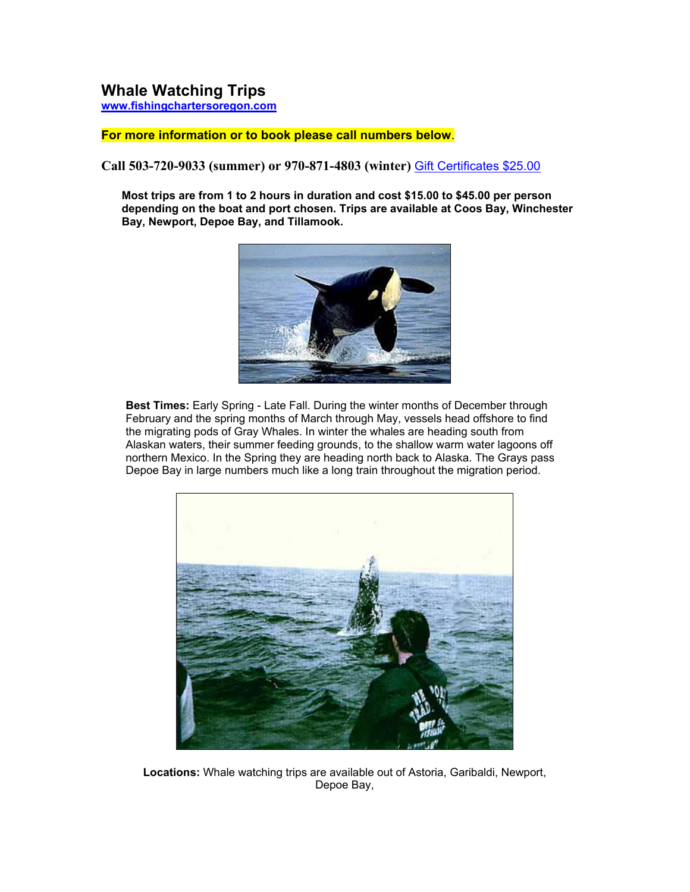# **Whale Watching Trips www.fishingchartersoregon.com**

#### **For more information or to book please call numbers below**.

**Call 503-720-9033 (summer) or 970-871-4803 (winter)** Gift Certificates \$25.00

**Most trips are from 1 to 2 hours in duration and cost \$15.00 to \$45.00 per person depending on the boat and port chosen. Trips are available at Coos Bay, Winchester Bay, Newport, Depoe Bay, and Tillamook.**



**Best Times:** Early Spring - Late Fall. During the winter months of December through February and the spring months of March through May, vessels head offshore to find the migrating pods of Gray Whales. In winter the whales are heading south from Alaskan waters, their summer feeding grounds, to the shallow warm water lagoons off northern Mexico. In the Spring they are heading north back to Alaska. The Grays pass Depoe Bay in large numbers much like a long train throughout the migration period.



**Locations:** Whale watching trips are available out of Astoria, Garibaldi, Newport, Depoe Bay,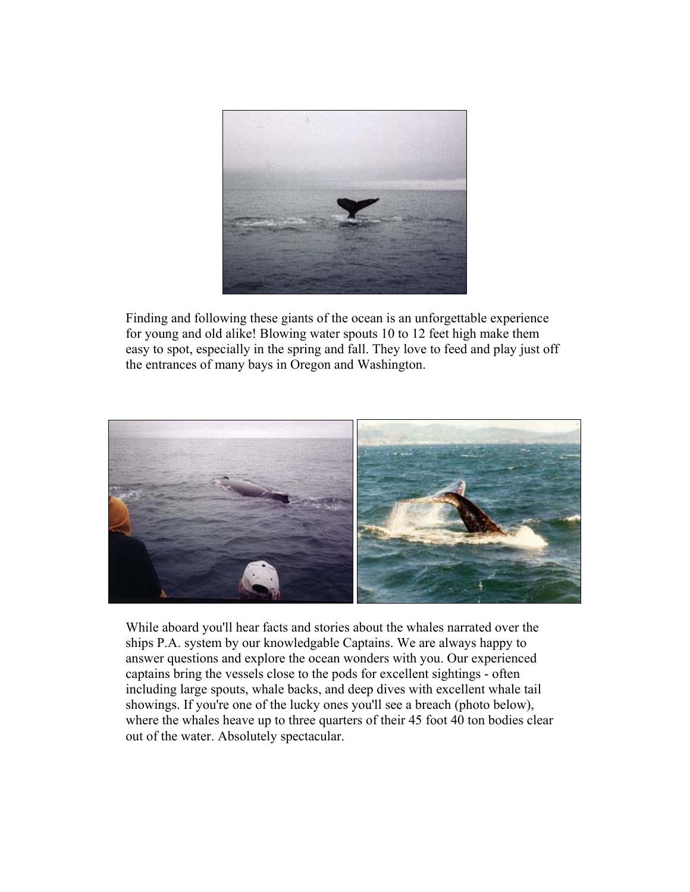

Finding and following these giants of the ocean is an unforgettable experience for young and old alike! Blowing water spouts 10 to 12 feet high make them easy to spot, especially in the spring and fall. They love to feed and play just off the entrances of many bays in Oregon and Washington.



While aboard you'll hear facts and stories about the whales narrated over the ships P.A. system by our knowledgable Captains. We are always happy to answer questions and explore the ocean wonders with you. Our experienced captains bring the vessels close to the pods for excellent sightings - often including large spouts, whale backs, and deep dives with excellent whale tail showings. If you're one of the lucky ones you'll see a breach (photo below), where the whales heave up to three quarters of their 45 foot 40 ton bodies clear out of the water. Absolutely spectacular.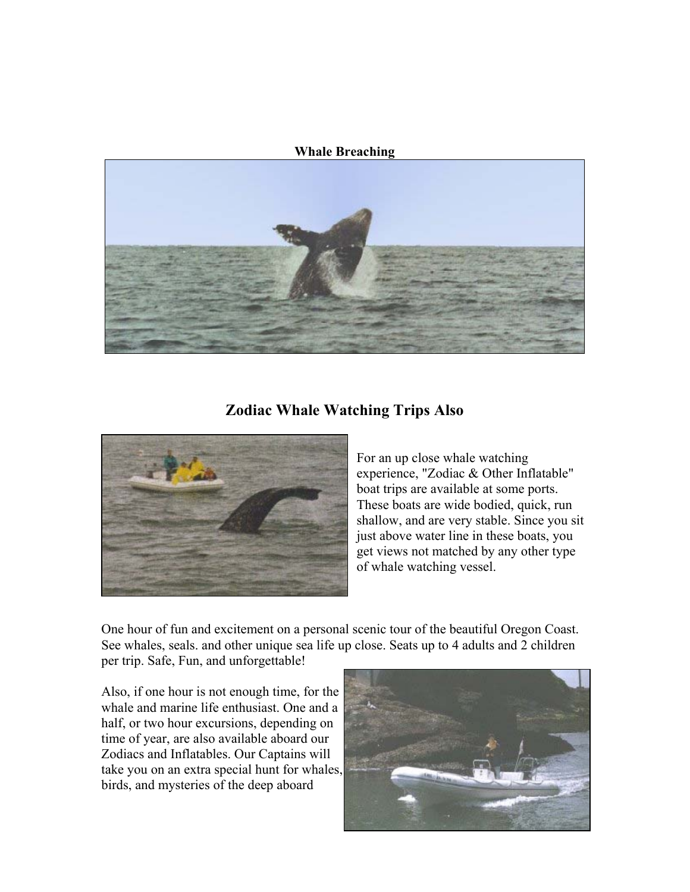#### **Whale Breaching**



### **Zodiac Whale Watching Trips Also**



For an up close whale watching experience, "Zodiac & Other Inflatable" boat trips are available at some ports. These boats are wide bodied, quick, run shallow, and are very stable. Since you sit just above water line in these boats, you get views not matched by any other type of whale watching vessel.

One hour of fun and excitement on a personal scenic tour of the beautiful Oregon Coast. See whales, seals. and other unique sea life up close. Seats up to 4 adults and 2 children per trip. Safe, Fun, and unforgettable!

Also, if one hour is not enough time, for the whale and marine life enthusiast. One and a half, or two hour excursions, depending on time of year, are also available aboard our Zodiacs and Inflatables. Our Captains will take you on an extra special hunt for whales, birds, and mysteries of the deep aboard